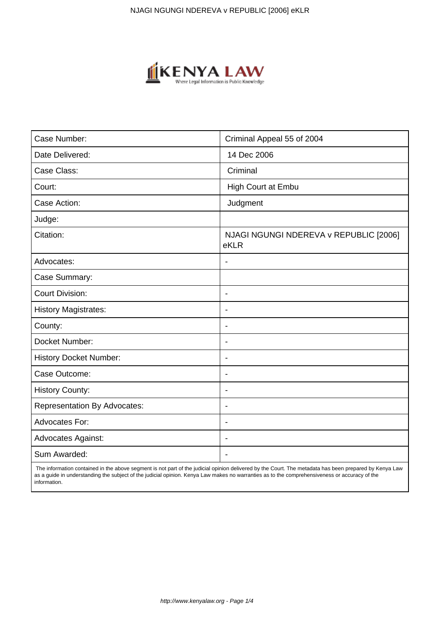

| Case Number:                        | Criminal Appeal 55 of 2004                     |
|-------------------------------------|------------------------------------------------|
| Date Delivered:                     | 14 Dec 2006                                    |
| Case Class:                         | Criminal                                       |
| Court:                              | High Court at Embu                             |
| Case Action:                        | Judgment                                       |
| Judge:                              |                                                |
| Citation:                           | NJAGI NGUNGI NDEREVA v REPUBLIC [2006]<br>eKLR |
| Advocates:                          |                                                |
| Case Summary:                       |                                                |
| <b>Court Division:</b>              | $\overline{\phantom{a}}$                       |
| <b>History Magistrates:</b>         |                                                |
| County:                             | ۰                                              |
| Docket Number:                      | $\blacksquare$                                 |
| <b>History Docket Number:</b>       | $\overline{\phantom{a}}$                       |
| Case Outcome:                       |                                                |
| <b>History County:</b>              | $\overline{\phantom{a}}$                       |
| <b>Representation By Advocates:</b> | $\blacksquare$                                 |
| Advocates For:                      | $\overline{\phantom{a}}$                       |
| <b>Advocates Against:</b>           |                                                |
| Sum Awarded:                        |                                                |

 The information contained in the above segment is not part of the judicial opinion delivered by the Court. The metadata has been prepared by Kenya Law as a guide in understanding the subject of the judicial opinion. Kenya Law makes no warranties as to the comprehensiveness or accuracy of the information.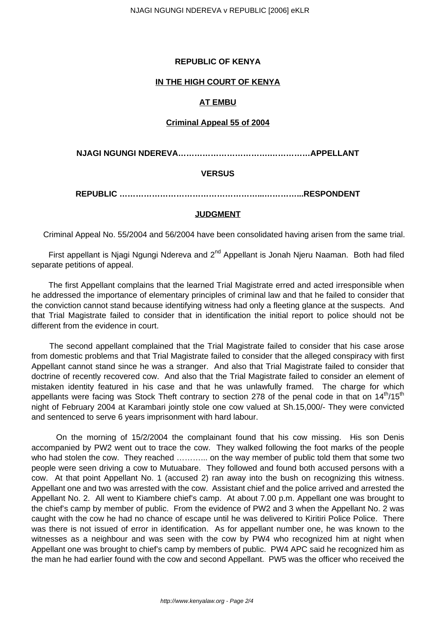## **REPUBLIC OF KENYA**

### **IN THE HIGH COURT OF KENYA**

### **AT EMBU**

### **Criminal Appeal 55 of 2004**

**NJAGI NGUNGI NDEREVA…………………………….……………APPELLANT**

## **VERSUS**

**REPUBLIC ……………………………………………...…………...RESPONDENT**

### **JUDGMENT**

Criminal Appeal No. 55/2004 and 56/2004 have been consolidated having arisen from the same trial.

First appellant is Njagi Ngungi Ndereva and 2<sup>nd</sup> Appellant is Jonah Njeru Naaman. Both had filed separate petitions of appeal.

 The first Appellant complains that the learned Trial Magistrate erred and acted irresponsible when he addressed the importance of elementary principles of criminal law and that he failed to consider that the conviction cannot stand because identifying witness had only a fleeting glance at the suspects. And that Trial Magistrate failed to consider that in identification the initial report to police should not be different from the evidence in court.

 The second appellant complained that the Trial Magistrate failed to consider that his case arose from domestic problems and that Trial Magistrate failed to consider that the alleged conspiracy with first Appellant cannot stand since he was a stranger. And also that Trial Magistrate failed to consider that doctrine of recently recovered cow. And also that the Trial Magistrate failed to consider an element of mistaken identity featured in his case and that he was unlawfully framed. The charge for which appellants were facing was Stock Theft contrary to section 278 of the penal code in that on  $14<sup>th</sup>/15<sup>th</sup>$ night of February 2004 at Karambari jointly stole one cow valued at Sh.15,000/- They were convicted and sentenced to serve 6 years imprisonment with hard labour.

 On the morning of 15/2/2004 the complainant found that his cow missing. His son Denis accompanied by PW2 went out to trace the cow. They walked following the foot marks of the people who had stolen the cow. They reached ………... on the way member of public told them that some two people were seen driving a cow to Mutuabare. They followed and found both accused persons with a cow. At that point Appellant No. 1 (accused 2) ran away into the bush on recognizing this witness. Appellant one and two was arrested with the cow. Assistant chief and the police arrived and arrested the Appellant No. 2. All went to Kiambere chief's camp. At about 7.00 p.m. Appellant one was brought to the chief's camp by member of public. From the evidence of PW2 and 3 when the Appellant No. 2 was caught with the cow he had no chance of escape until he was delivered to Kiritiri Police Police. There was there is not issued of error in identification. As for appellant number one, he was known to the witnesses as a neighbour and was seen with the cow by PW4 who recognized him at night when Appellant one was brought to chief's camp by members of public. PW4 APC said he recognized him as the man he had earlier found with the cow and second Appellant. PW5 was the officer who received the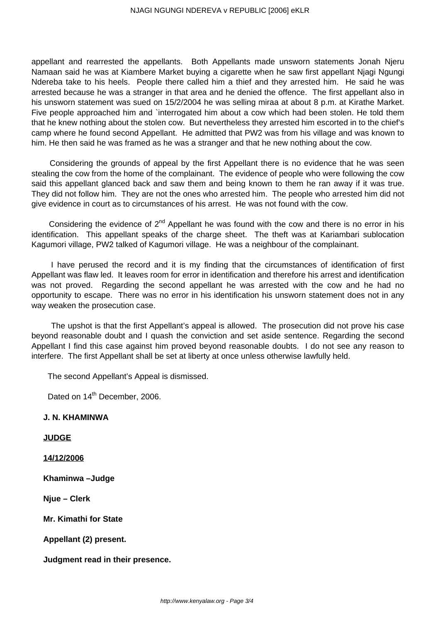appellant and rearrested the appellants. Both Appellants made unsworn statements Jonah Njeru Namaan said he was at Kiambere Market buying a cigarette when he saw first appellant Njagi Ngungi Ndereba take to his heels. People there called him a thief and they arrested him. He said he was arrested because he was a stranger in that area and he denied the offence. The first appellant also in his unsworn statement was sued on 15/2/2004 he was selling miraa at about 8 p.m. at Kirathe Market. Five people approached him and `interrogated him about a cow which had been stolen. He told them that he knew nothing about the stolen cow. But nevertheless they arrested him escorted in to the chief's camp where he found second Appellant. He admitted that PW2 was from his village and was known to him. He then said he was framed as he was a stranger and that he new nothing about the cow.

 Considering the grounds of appeal by the first Appellant there is no evidence that he was seen stealing the cow from the home of the complainant. The evidence of people who were following the cow said this appellant glanced back and saw them and being known to them he ran away if it was true. They did not follow him. They are not the ones who arrested him. The people who arrested him did not give evidence in court as to circumstances of his arrest. He was not found with the cow.

Considering the evidence of  $2<sup>nd</sup>$  Appellant he was found with the cow and there is no error in his identification. This appellant speaks of the charge sheet. The theft was at Kariambari sublocation Kagumori village, PW2 talked of Kagumori village. He was a neighbour of the complainant.

 I have perused the record and it is my finding that the circumstances of identification of first Appellant was flaw led. It leaves room for error in identification and therefore his arrest and identification was not proved. Regarding the second appellant he was arrested with the cow and he had no opportunity to escape. There was no error in his identification his unsworn statement does not in any way weaken the prosecution case.

 The upshot is that the first Appellant's appeal is allowed. The prosecution did not prove his case beyond reasonable doubt and I quash the conviction and set aside sentence. Regarding the second Appellant I find this case against him proved beyond reasonable doubts. I do not see any reason to interfere. The first Appellant shall be set at liberty at once unless otherwise lawfully held.

The second Appellant's Appeal is dismissed.

Dated on 14<sup>th</sup> December, 2006.

### **J. N. KHAMINWA**

**JUDGE**

**14/12/2006**

**Khaminwa –Judge**

**Njue – Clerk**

**Mr. Kimathi for State**

**Appellant (2) present.** 

**Judgment read in their presence.**